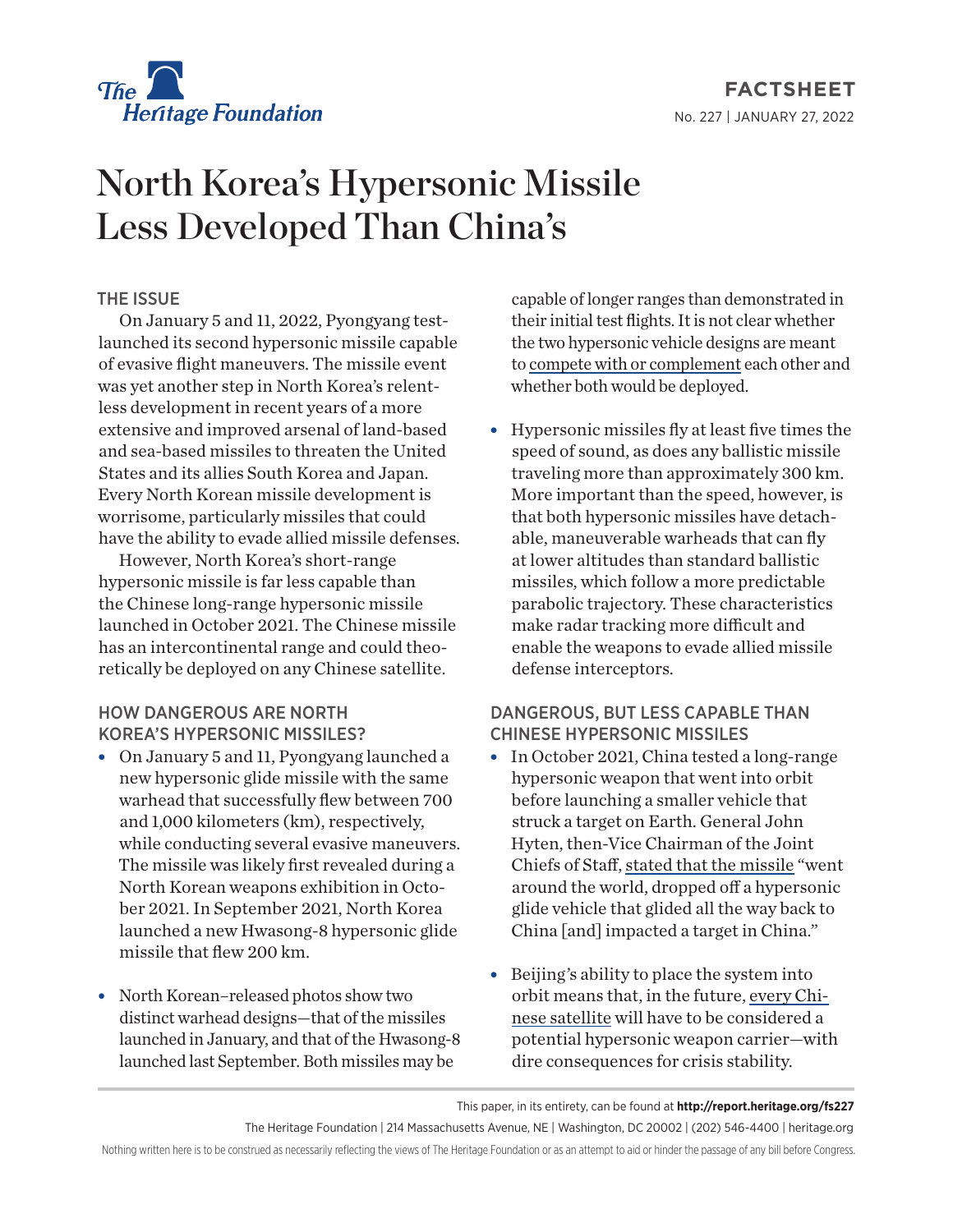

**FACTSHEET** No. 227 | January 27, 2022

# North Korea's Hypersonic Missile Less Developed Than China's

### THE ISSUE

On January 5 and 11, 2022, Pyongyang testlaunched its second hypersonic missile capable of evasive flight maneuvers. The missile event was yet another step in North Korea's relentless development in recent years of a more extensive and improved arsenal of land-based and sea-based missiles to threaten the United States and its allies South Korea and Japan. Every North Korean missile development is worrisome, particularly missiles that could have the ability to evade allied missile defenses.

However, North Korea's short-range hypersonic missile is far less capable than the Chinese long-range hypersonic missile launched in October 2021. The Chinese missile has an intercontinental range and could theoretically be deployed on any Chinese satellite.

#### HOW DANGEROUS ARE NORTH KOREA'S HYPERSONIC MISSILES?

- On January 5 and 11, Pyongyang launched a new hypersonic glide missile with the same warhead that successfully flew between 700 and 1,000 kilometers (km), respectively, while conducting several evasive maneuvers. The missile was likely first revealed during a North Korean weapons exhibition in October 2021. In September 2021, North Korea launched a new Hwasong-8 hypersonic glide missile that flew 200 km.
- North Korean–released photos show two distinct warhead designs—that of the missiles launched in January, and that of the Hwasong-8 launched last September. Both missiles may be

capable of longer ranges than demonstrated in their initial test flights. It is not clear whether the two hypersonic vehicle designs are meant to [compete with or complement](https://oneearthfuture.org/research-analysis/onn-brief-analysis-5-january-2022-hypersonic-missile-test-dprk) each other and whether both would be deployed.

 $\bullet$  Hypersonic missiles fly at least five times the speed of sound, as does any ballistic missile traveling more than approximately 300 km. More important than the speed, however, is that both hypersonic missiles have detachable, maneuverable warheads that can fly at lower altitudes than standard ballistic missiles, which follow a more predictable parabolic trajectory. These characteristics make radar tracking more difficult and enable the weapons to evade allied missile defense interceptors.

## DANGEROUS, BUT LESS CAPABLE THAN CHINESE HYPERSONIC MISSILES

- In October 2021, China tested a long-range hypersonic weapon that went into orbit before launching a smaller vehicle that struck a target on Earth. General John Hyten, then-Vice Chairman of the Joint Chiefs of Staff, [stated that the missile](https://www.cnn.com/2021/11/17/politics/john-hyten-china-hypersonic-weapons-test/index.html) "went around the world, dropped off a hypersonic glide vehicle that glided all the way back to China [and] impacted a target in China."
- Beijing's ability to place the system into orbit means that, in the future, [every Chi](https://www.heritage.org/space-policy/commentary/looking-the-stars-2022)[nese satellite](https://www.heritage.org/space-policy/commentary/looking-the-stars-2022) will have to be considered a potential hypersonic weapon carrier—with dire consequences for crisis stability.

The Heritage Foundation | 214 Massachusetts Avenue, NE | Washington, DC 20002 | (202) 546-4400 | heritage.org

Nothing written here is to be construed as necessarily reflecting the views of The Heritage Foundation or as an attempt to aid or hinder the passage of any bill before Congress.

This paper, in its entirety, can be found at **http://report.heritage.org/fs227**